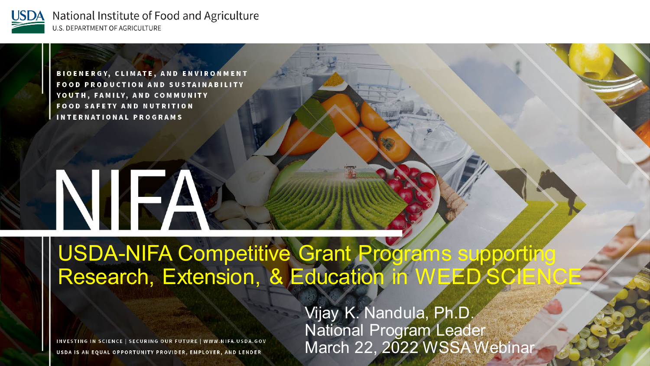

> BIOENERGY, CLIMATE, AND ENVIRONMENT **FOOD PRODUCTION AND SUSTAINABILITY** YOUTH, FAMILY, AND COMMUNITY **FOOD SAFETY AND NUTRITION INTERNATIONAL PROGRAMS**

# NIFA

USDA-NIFA Competitive Grant Programs supporting Research, Extension, & Education in WEED SCIENCE

INVESTING IN SCIENCE | SECURING OUR FUTURE | WWW.NIFA.USDA.GOV USDA IS AN EQUAL OPPORTUNITY PROVIDER, EMPLOYER, AND LENDER

Vijay K. Nandula, Ph.D. National Program Leader March 22, 2022 WSSA Webinar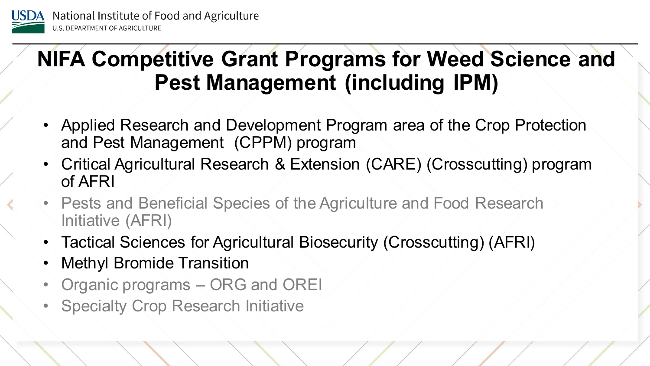

### **NIFA Competitive Grant Programs for Weed Science and Pest Management (including IPM)**

- Applied Research and Development Program area of the Crop Protection and Pest Management (CPPM) program
- Critical Agricultural Research & Extension (CARE) (Crosscutting) program of AFRI
- Pests and Beneficial Species of the Agriculture and Food Research Initiative (AFRI)
- Tactical Sciences for Agricultural Biosecurity (Crosscutting) (AFRI)
- **Methyl Bromide Transition**
- Organic programs ORG and OREI
- Specialty Crop Research Initiative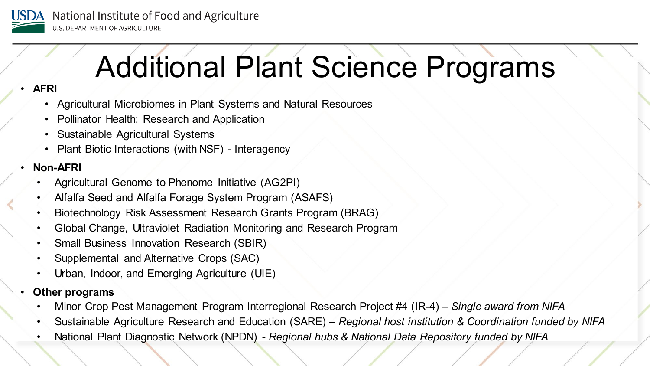

# **Additional Plant Science Programs**

- Agricultural Microbiomes in Plant Systems and Natural Resources
- Pollinator Health: Research and Application
- Sustainable Agricultural Systems
- Plant Biotic Interactions (with NSF) Interagency

#### • **Non-AFRI**

- Agricultural Genome to Phenome Initiative (AG2PI)
- Alfalfa Seed and Alfalfa Forage System Program (ASAFS)
- Biotechnology Risk Assessment Research Grants Program (BRAG)
- Global Change, Ultraviolet Radiation Monitoring and Research Program
- Small Business Innovation Research (SBIR)
- Supplemental and Alternative Crops (SAC)
- Urban, Indoor, and Emerging Agriculture (UIE)

#### • **Other programs**

- Minor Crop Pest Management Program Interregional Research Project #4 (IR-4) *Single award from NIFA*
- Sustainable Agriculture Research and Education (SARE) *Regional host institution & Coordination funded by NIFA*
- National Plant Diagnostic Network (NPDN) *Regional hubs & National Data Repository funded by NIFA*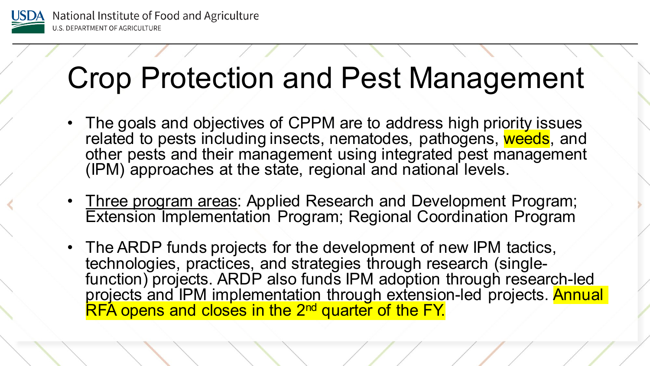

### Crop Protection and Pest Management

- The goals and objectives of CPPM are to address high priority issues related to pests including insects, nematodes, pathogens, weeds, and other pests and their management using integrated pest management (IPM) approaches at the state, regional and national levels.
- Three program areas: Applied Research and Development Program; Extension Implementation Program; Regional Coordination Program
- The ARDP funds projects for the development of new IPM tactics,<br>technologies, practices, and strategies through research (singlefunction) projects. ARDP also funds IPM adoption through research-led projects and IPM implementation through extension-led projects. Annual RFA opens and closes in the 2<sup>nd</sup> quarter of the FY.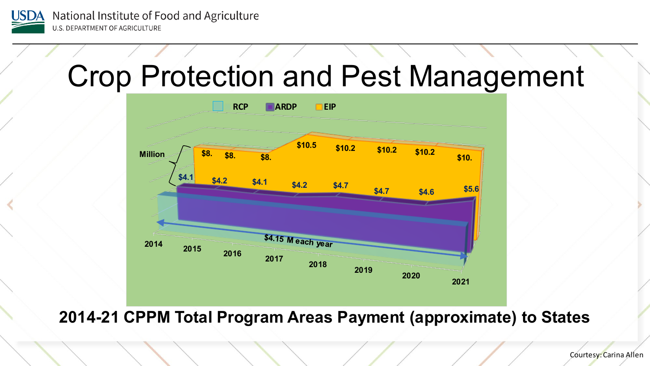

### Crop Protection and Pest Management



**2014-21 CPPM Total Program Areas Payment (approximate) to States**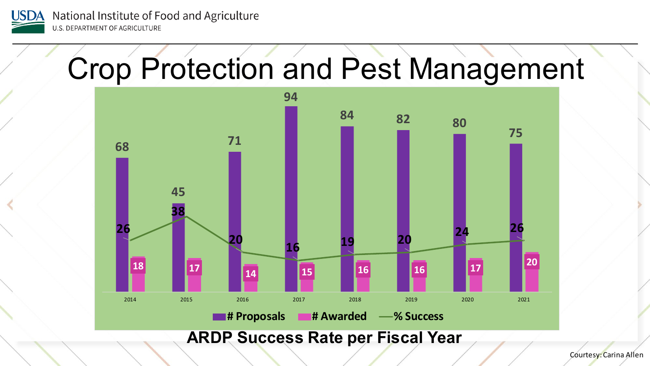

### Crop Protection and Pest Management



**ARDP Success Rate per Fiscal Year**

Courtesy: Carina Allen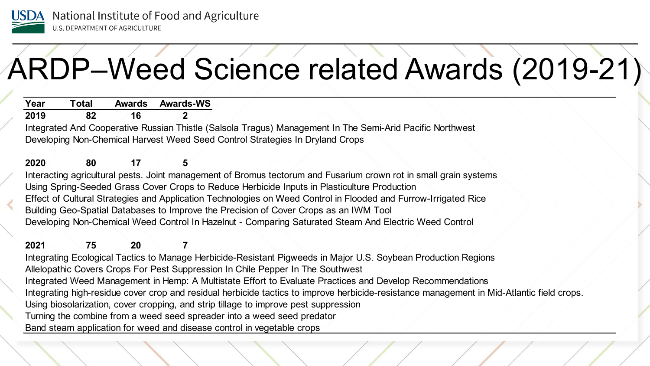

## ARDP–Weed Science related Awards (2019-21)

| Year | Total |    | <b>Awards Awards-WS</b> |  |
|------|-------|----|-------------------------|--|
| 2019 | 82    | 16 |                         |  |

Integrated And Cooperative Russian Thistle (Salsola Tragus) Management In The Semi-Arid Pacific Northwest Developing Non-Chemical Harvest Weed Seed Control Strategies In Dryland Crops

#### **2020 80 17 5**

Interacting agricultural pests. Joint management of Bromus tectorum and Fusarium crown rot in small grain systems Using Spring-Seeded Grass Cover Crops to Reduce Herbicide Inputs in Plasticulture Production Effect of Cultural Strategies and Application Technologies on Weed Control in Flooded and Furrow-Irrigated Rice Building Geo-Spatial Databases to Improve the Precision of Cover Crops as an IWM Tool Developing Non-Chemical Weed Control In Hazelnut - Comparing Saturated Steam And Electric Weed Control

#### **2021 75 20 7**

Integrating Ecological Tactics to Manage Herbicide-Resistant Pigweeds in Major U.S. Soybean Production Regions Allelopathic Covers Crops For Pest Suppression In Chile Pepper In The Southwest Integrated Weed Management in Hemp: A Multistate Effort to Evaluate Practices and Develop Recommendations Integrating high-residue cover crop and residual herbicide tactics to improve herbicide-resistance management in Mid-Atlantic field crops. Using biosolarization, cover cropping, and strip tillage to improve pest suppression Turning the combine from a weed seed spreader into a weed seed predator Band steam application for weed and disease control in vegetable crops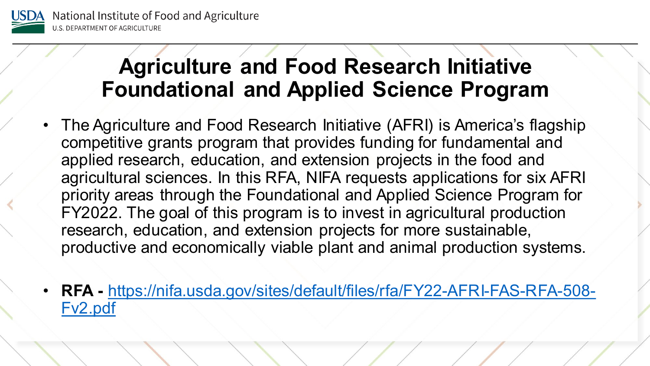

### **Agriculture and Food Research Initiative Foundational and Applied Science Program**

- The Agriculture and Food Research Initiative (AFRI) is America's flagship competitive grants program that provides funding for fundamental and applied research, education, and extension projects in the food and agricultural sciences. In this RFA, NIFA requests applications for six AFRI priority areas through the Foundational and Applied Science Program for FY2022. The goal of this program is to invest in agricultural production research, education, and extension projects for more sustainable, productive and economically viable plant and animal production systems.
- **RFA -** [https://nifa.usda.gov/sites/default/files/rfa/FY22-AFRI-FAS-RFA-508-](https://nifa.usda.gov/sites/default/files/rfa/FY22-AFRI-FAS-RFA-508-Fv2.pdf) Fv2.pdf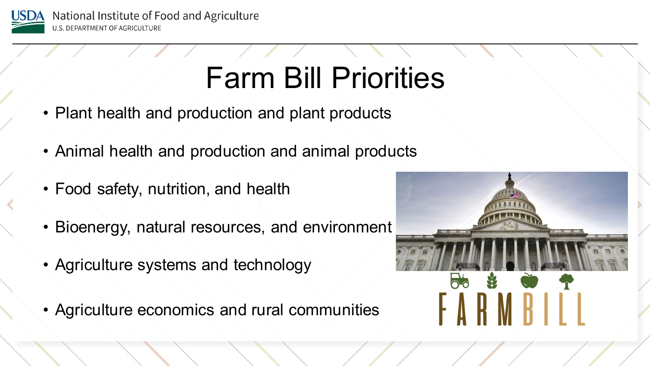

### Farm Bill Priorities

- Plant health and production and plant products
- Animal health and production and animal products
- Food safety, nutrition, and health
- Bioenergy, natural resources, and environment
- Agriculture systems and technology
- Agriculture economics and rural communities

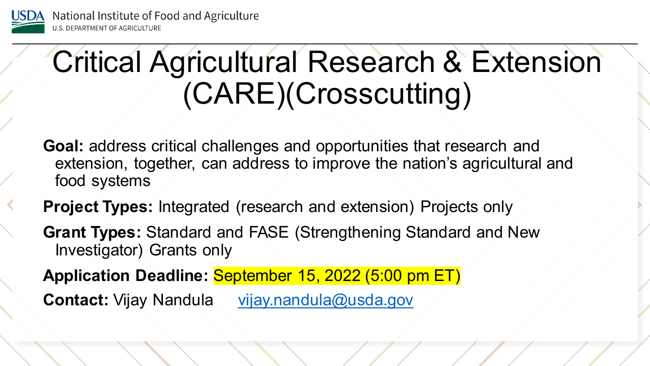

### Critical Agricultural Research & Extension (CARE)(Crosscutting)

- **Goal:** address critical challenges and opportunities that research and extension, together, can address to improve the nation's agricultural and food systems
- **Project Types:** Integrated (research and extension) Projects only
- **Grant Types:** Standard and FASE (Strengthening Standard and New Investigator) Grants only
- **Application Deadline:** September 15, 2022 (5:00 pm ET)
- Contact: Vijay Nandula [vijay.nandula@usda.gov](mailto:vijay.nandula@usda.gov)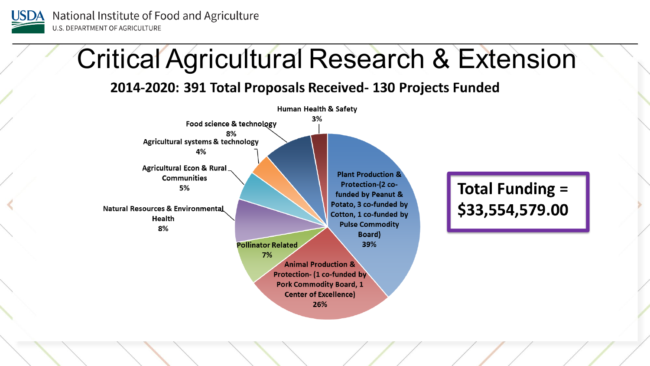

### Critical Agricultural Research & Extension

#### 2014-2020: 391 Total Proposals Received- 130 Projects Funded

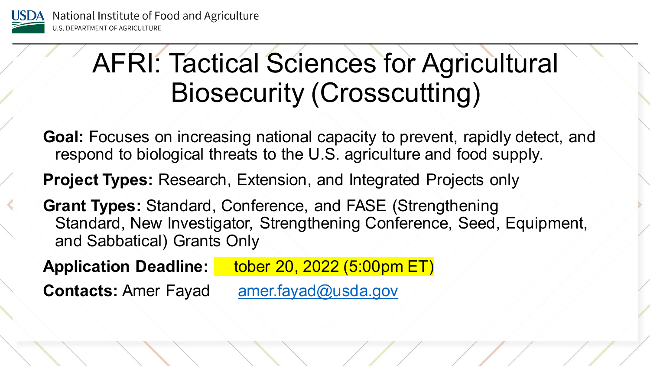

### AFRI: Tactical Sciences for Agricultural Biosecurity (Crosscutting)

**Goal:** Focuses on increasing national capacity to prevent, rapidly detect, and respond to biological threats to the U.S. agriculture and food supply.

**Project Types:** Research, Extension, and Integrated Projects only

**Grant Types:** Standard, Conference, and FASE (Strengthening Standard, New Investigator, Strengthening Conference, Seed, Equipment, and Sabbatical) Grants Only

Application Deadline: **tober 20, 2022 (5:00pm ET) Contacts: Amer Fayad [amer.fayad@usda.gov](mailto:amer.fayad@usda.gov)**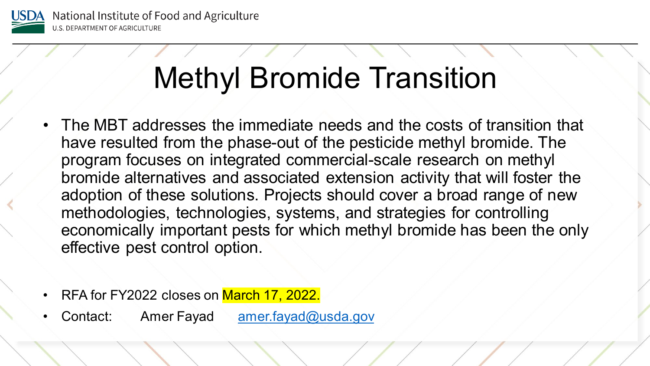

### Methyl Bromide Transition

- The MBT addresses the immediate needs and the costs of transition that have resulted from the phase-out of the pesticide methyl bromide. The program focuses on integrated commercial-scale research on methyl bromide alternatives and associated extension activity that will foster the adoption of these solutions. Projects should cover a broad range of new methodologies, technologies, systems, and strategies for controlling economically important pests for which methyl bromide has been the only effective pest control option.
- RFA for FY2022 closes on March 17, 2022.
- Contact: Amer Fayad [amer.fayad@usda.gov](mailto:amer.fayad@usda.gov)